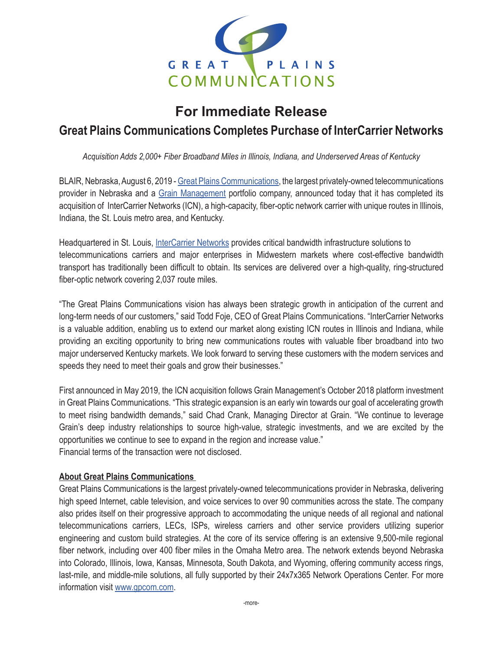

# **For Immediate Release**

## **Great Plains Communications Completes Purchase of InterCarrier Networks**

*Acquisition Adds 2,000+ Fiber Broadband Miles in Illinois, Indiana, and Underserved Areas of Kentucky*

BLAIR, Nebraska, August 6, 2019 - [Great Plains Communications](http://www.gpcom.com), the largest privately-owned telecommunications provider in Nebraska and a [Grain Management](http://www.graingp.com/) portfolio company, announced today that it has completed its acquisition of InterCarrier Networks (ICN), a high-capacity, fiber-optic network carrier with unique routes in Illinois, Indiana, the St. Louis metro area, and Kentucky.

Headquartered in St. Louis, [InterCarrier Networks](http://www.intercarriernetworks.com) provides critical bandwidth infrastructure solutions to telecommunications carriers and major enterprises in Midwestern markets where cost-effective bandwidth transport has traditionally been difficult to obtain. Its services are delivered over a high-quality, ring-structured fiber-optic network covering 2,037 route miles.

"The Great Plains Communications vision has always been strategic growth in anticipation of the current and long-term needs of our customers," said Todd Foje, CEO of Great Plains Communications. "InterCarrier Networks is a valuable addition, enabling us to extend our market along existing ICN routes in Illinois and Indiana, while providing an exciting opportunity to bring new communications routes with valuable fiber broadband into two major underserved Kentucky markets. We look forward to serving these customers with the modern services and speeds they need to meet their goals and grow their businesses."

First announced in May 2019, the ICN acquisition follows Grain Management's October 2018 platform investment in Great Plains Communications. "This strategic expansion is an early win towards our goal of accelerating growth to meet rising bandwidth demands," said Chad Crank, Managing Director at Grain. "We continue to leverage Grain's deep industry relationships to source high-value, strategic investments, and we are excited by the opportunities we continue to see to expand in the region and increase value." Financial terms of the transaction were not disclosed.

### **About Great Plains Communications**

Great Plains Communications is the largest privately-owned telecommunications provider in Nebraska, delivering high speed Internet, cable television, and voice services to over 90 communities across the state. The company also prides itself on their progressive approach to accommodating the unique needs of all regional and national telecommunications carriers, LECs, ISPs, wireless carriers and other service providers utilizing superior engineering and custom build strategies. At the core of its service offering is an extensive 9,500-mile regional fiber network, including over 400 fiber miles in the Omaha Metro area. The network extends beyond Nebraska into Colorado, Illinois, Iowa, Kansas, Minnesota, South Dakota, and Wyoming, offering community access rings, last-mile, and middle-mile solutions, all fully supported by their 24x7x365 Network Operations Center. For more information visit [www.gpcom.com](http://www.gpcom.com).